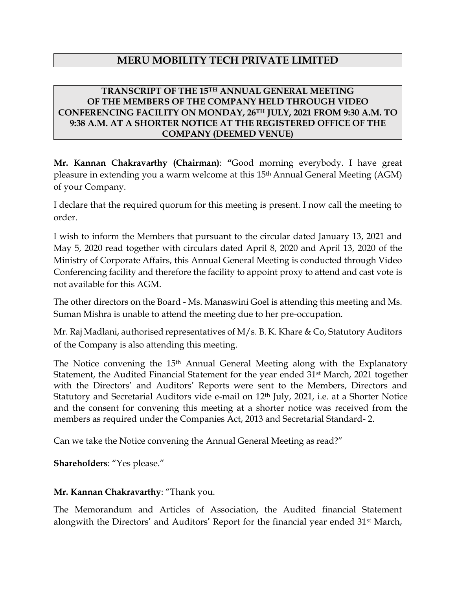# **MERU MOBILITY TECH PRIVATE LIMITED**

### **TRANSCRIPT OF THE 15TH ANNUAL GENERAL MEETING OF THE MEMBERS OF THE COMPANY HELD THROUGH VIDEO CONFERENCING FACILITY ON MONDAY, 26TH JULY, 2021 FROM 9:30 A.M. TO 9:38 A.M. AT A SHORTER NOTICE AT THE REGISTERED OFFICE OF THE COMPANY (DEEMED VENUE)**

**Mr. Kannan Chakravarthy (Chairman)**: **"**Good morning everybody. I have great pleasure in extending you a warm welcome at this 15<sup>th</sup> Annual General Meeting (AGM) of your Company.

I declare that the required quorum for this meeting is present. I now call the meeting to order.

I wish to inform the Members that pursuant to the circular dated January 13, 2021 and May 5, 2020 read together with circulars dated April 8, 2020 and April 13, 2020 of the Ministry of Corporate Affairs, this Annual General Meeting is conducted through Video Conferencing facility and therefore the facility to appoint proxy to attend and cast vote is not available for this AGM.

The other directors on the Board *-* Ms. Manaswini Goel is attending this meeting and Ms. Suman Mishra is unable to attend the meeting due to her pre-occupation.

Mr. Raj Madlani, authorised representatives of M/s. B. K. Khare & Co, Statutory Auditors of the Company is also attending this meeting.

The Notice convening the 15<sup>th</sup> Annual General Meeting along with the Explanatory Statement, the Audited Financial Statement for the year ended 31<sup>st</sup> March, 2021 together with the Directors' and Auditors' Reports were sent to the Members, Directors and Statutory and Secretarial Auditors vide e-mail on 12<sup>th</sup> July, 2021, i.e. at a Shorter Notice and the consent for convening this meeting at a shorter notice was received from the members as required under the Companies Act, 2013 and Secretarial Standard- 2.

Can we take the Notice convening the Annual General Meeting as read?"

**Shareholders**: "Yes please."

### **Mr. Kannan Chakravarthy**: "Thank you.

The Memorandum and Articles of Association, the Audited financial Statement alongwith the Directors' and Auditors' Report for the financial year ended 31<sup>st</sup> March,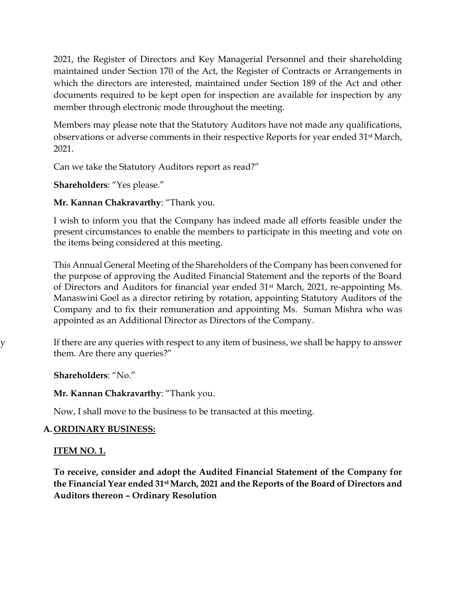2021, the Register of Directors and Key Managerial Personnel and their shareholding maintained under Section 170 of the Act, the Register of Contracts or Arrangements in which the directors are interested, maintained under Section 189 of the Act and other documents required to be kept open for inspection are available for inspection by any member through electronic mode throughout the meeting.

Members may please note that the Statutory Auditors have not made any qualifications, observations or adverse comments in their respective Reports for year ended 31st March, 2021.

Can we take the Statutory Auditors report as read?"

**Shareholders**: "Yes please."

**Mr. Kannan Chakravarthy**: "Thank you.

I wish to inform you that the Company has indeed made all efforts feasible under the present circumstances to enable the members to participate in this meeting and vote on the items being considered at this meeting.

This Annual General Meeting of the Shareholders of the Company has been convened for the purpose of approving the Audited Financial Statement and the reports of the Board of Directors and Auditors for financial year ended 31st March, 2021, re-appointing Ms. Manaswini Goel as a director retiring by rotation, appointing Statutory Auditors of the Company and to fix their remuneration and appointing Ms. Suman Mishra who was appointed as an Additional Director as Directors of the Company.

y If there are any queries with respect to any item of business, we shall be happy to answer them. Are there any queries?"

**Shareholders**: "No."

### **Mr. Kannan Chakravarthy**: "Thank you.

Now, I shall move to the business to be transacted at this meeting.

## **A. ORDINARY BUSINESS:**

## **ITEM NO. 1.**

**To receive, consider and adopt the Audited Financial Statement of the Company for the Financial Year ended 31st March, 2021 and the Reports of the Board of Directors and Auditors thereon – Ordinary Resolution**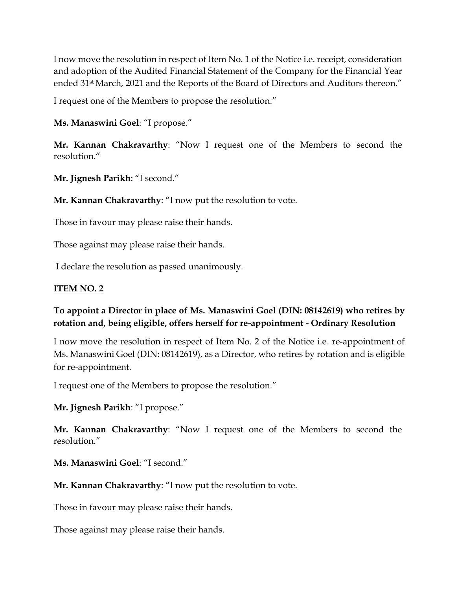I now move the resolution in respect of Item No. 1 of the Notice i.e. receipt, consideration and adoption of the Audited Financial Statement of the Company for the Financial Year ended 31st March, 2021 and the Reports of the Board of Directors and Auditors thereon."

I request one of the Members to propose the resolution."

**Ms. Manaswini Goel**: "I propose."

**Mr. Kannan Chakravarthy**: "Now I request one of the Members to second the resolution."

**Mr. Jignesh Parikh**: "I second."

**Mr. Kannan Chakravarthy**: "I now put the resolution to vote.

Those in favour may please raise their hands.

Those against may please raise their hands.

I declare the resolution as passed unanimously.

## **ITEM NO. 2**

## **To appoint a Director in place of Ms. Manaswini Goel (DIN: 08142619) who retires by rotation and, being eligible, offers herself for re-appointment - Ordinary Resolution**

I now move the resolution in respect of Item No. 2 of the Notice i.e. re-appointment of Ms. Manaswini Goel (DIN: 08142619), as a Director, who retires by rotation and is eligible for re-appointment.

I request one of the Members to propose the resolution."

**Mr. Jignesh Parikh**: "I propose."

**Mr. Kannan Chakravarthy**: "Now I request one of the Members to second the resolution."

**Ms. Manaswini Goel**: "I second."

**Mr. Kannan Chakravarthy**: "I now put the resolution to vote.

Those in favour may please raise their hands.

Those against may please raise their hands.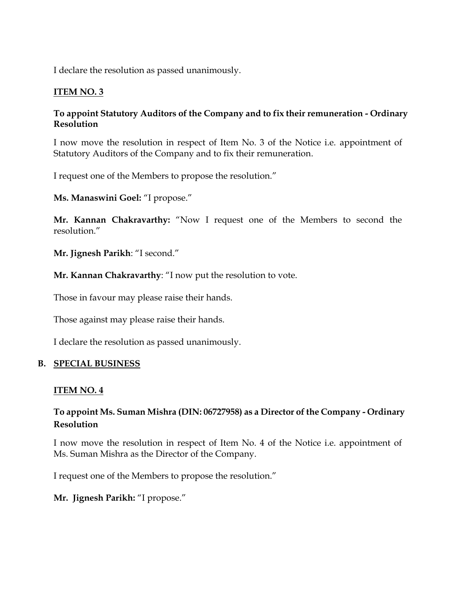I declare the resolution as passed unanimously.

### **ITEM NO. 3**

### **To appoint Statutory Auditors of the Company and to fix their remuneration - Ordinary Resolution**

I now move the resolution in respect of Item No. 3 of the Notice i.e. appointment of Statutory Auditors of the Company and to fix their remuneration.

I request one of the Members to propose the resolution."

**Ms. Manaswini Goel:** "I propose."

**Mr. Kannan Chakravarthy:** "Now I request one of the Members to second the resolution."

**Mr. Jignesh Parikh**: "I second."

**Mr. Kannan Chakravarthy**: "I now put the resolution to vote.

Those in favour may please raise their hands.

Those against may please raise their hands.

I declare the resolution as passed unanimously.

#### **B. SPECIAL BUSINESS**

### **ITEM NO. 4**

## **To appoint Ms. Suman Mishra (DIN: 06727958) as a Director of the Company - Ordinary Resolution**

I now move the resolution in respect of Item No. 4 of the Notice i.e. appointment of Ms. Suman Mishra as the Director of the Company.

I request one of the Members to propose the resolution."

**Mr. Jignesh Parikh:** "I propose."